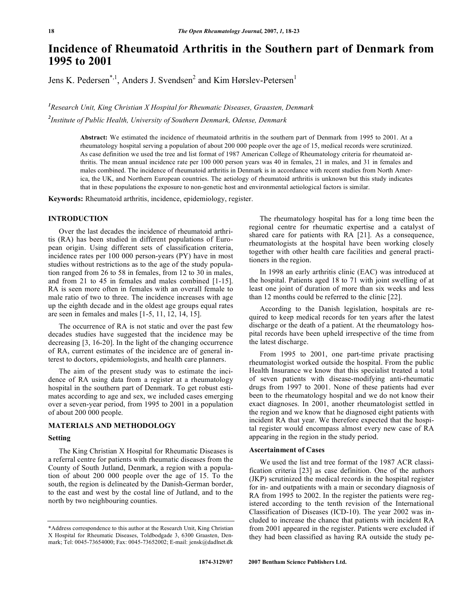# **Incidence of Rheumatoid Arthritis in the Southern part of Denmark from 1995 to 2001**

Jens K. Pedersen<sup>\*, 1</sup>, Anders J. Svendsen<sup>2</sup> and Kim Hørslev-Petersen<sup>1</sup>

*1 Research Unit, King Christian X Hospital for Rheumatic Diseases, Graasten, Denmark 2 Institute of Public Health, University of Southern Denmark, Odense, Denmark*

> **Abstract:** We estimated the incidence of rheumatoid arthritis in the southern part of Denmark from 1995 to 2001. At a rheumatology hospital serving a population of about 200 000 people over the age of 15, medical records were scrutinized. As case definition we used the tree and list format of 1987 American College of Rheumatology criteria for rheumatoid arthritis. The mean annual incidence rate per 100 000 person years was 40 in females, 21 in males, and 31 in females and males combined. The incidence of rheumatoid arthritis in Denmark is in accordance with recent studies from North America, the UK, and Northern European countries. The aetiology of rheumatoid arthritis is unknown but this study indicates that in these populations the exposure to non-genetic host and environmental aetiological factors is similar.

**Keywords:** Rheumatoid arthritis, incidence, epidemiology, register.

# **INTRODUCTION**

Over the last decades the incidence of rheumatoid arthritis (RA) has been studied in different populations of European origin. Using different sets of classification criteria, incidence rates per 100 000 person-years (PY) have in most studies without restrictions as to the age of the study population ranged from 26 to 58 in females, from 12 to 30 in males, and from 21 to 45 in females and males combined [1-15]. RA is seen more often in females with an overall female to male ratio of two to three. The incidence increases with age up the eighth decade and in the oldest age groups equal rates are seen in females and males [1-5, 11, 12, 14, 15].

The occurrence of RA is not static and over the past few decades studies have suggested that the incidence may be decreasing [3, 16-20]. In the light of the changing occurrence of RA, current estimates of the incidence are of general interest to doctors, epidemiologists, and health care planners.

The aim of the present study was to estimate the incidence of RA using data from a register at a rheumatology hospital in the southern part of Denmark. To get robust estimates according to age and sex, we included cases emerging over a seven-year period, from 1995 to 2001 in a population of about 200 000 people.

#### **MATERIALS AND METHODOLOGY**

#### **Setting**

The King Christian X Hospital for Rheumatic Diseases is a referral centre for patients with rheumatic diseases from the County of South Jutland, Denmark, a region with a population of about 200 000 people over the age of 15. To the south, the region is delineated by the Danish-German border, to the east and west by the costal line of Jutland, and to the north by two neighbouring counties.

The rheumatology hospital has for a long time been the regional centre for rheumatic expertise and a catalyst of shared care for patients with RA [21]. As a consequence, rheumatologists at the hospital have been working closely together with other health care facilities and general practitioners in the region.

In 1998 an early arthritis clinic (EAC) was introduced at the hospital. Patients aged 18 to 71 with joint swelling of at least one joint of duration of more than six weeks and less than 12 months could be referred to the clinic [22].

According to the Danish legislation, hospitals are required to keep medical records for ten years after the latest discharge or the death of a patient. At the rheumatology hospital records have been upheld irrespective of the time from the latest discharge.

From 1995 to 2001, one part-time private practising rheumatologist worked outside the hospital. From the public Health Insurance we know that this specialist treated a total of seven patients with disease-modifying anti-rheumatic drugs from 1997 to 2001. None of these patients had ever been to the rheumatology hospital and we do not know their exact diagnoses. In 2001, another rheumatologist settled in the region and we know that he diagnosed eight patients with incident RA that year. We therefore expected that the hospital register would encompass almost every new case of RA appearing in the region in the study period.

## **Ascertainment of Cases**

We used the list and tree format of the 1987 ACR classification criteria [23] as case definition. One of the authors (JKP) scrutinized the medical records in the hospital register for in- and outpatients with a main or secondary diagnosis of RA from 1995 to 2002. In the register the patients were registered according to the tenth revision of the International Classification of Diseases (ICD-10). The year 2002 was included to increase the chance that patients with incident RA from 2001 appeared in the register. Patients were excluded if they had been classified as having RA outside the study pe-

<sup>\*</sup>Address correspondence to this author at the Research Unit, King Christian X Hospital for Rheumatic Diseases, Toldbodgade 3, 6300 Graasten, Denmark; Tel: 0045-73654000; Fax: 0045-73652002; E-mail: jensk@dadlnet.dk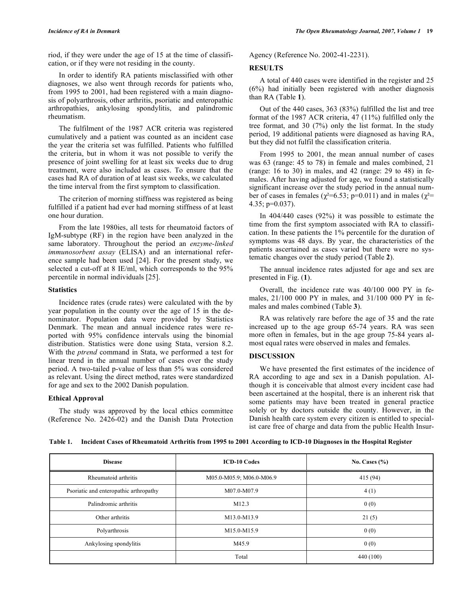riod, if they were under the age of 15 at the time of classification, or if they were not residing in the county.

In order to identify RA patients misclassified with other diagnoses, we also went through records for patients who, from 1995 to 2001, had been registered with a main diagnosis of polyarthrosis, other arthritis, psoriatic and enteropathic arthropathies, ankylosing spondylitis, and palindromic rheumatism.

The fulfilment of the 1987 ACR criteria was registered cumulatively and a patient was counted as an incident case the year the criteria set was fulfilled. Patients who fulfilled the criteria, but in whom it was not possible to verify the presence of joint swelling for at least six weeks due to drug treatment, were also included as cases. To ensure that the cases had RA of duration of at least six weeks, we calculated the time interval from the first symptom to classification.

The criterion of morning stiffness was registered as being fulfilled if a patient had ever had morning stiffness of at least one hour duration.

From the late 1980ies, all tests for rheumatoid factors of IgM-subtype (RF) in the region have been analyzed in the same laboratory. Throughout the period an *enzyme-linked immunosorbent assay* (ELISA) and an international reference sample had been used [24]. For the present study, we selected a cut-off at 8 IE/ml, which corresponds to the 95% percentile in normal individuals [25].

## **Statistics**

Incidence rates (crude rates) were calculated with the by year population in the county over the age of 15 in the denominator. Population data were provided by Statistics Denmark. The mean and annual incidence rates were reported with 95% confidence intervals using the binomial distribution. Statistics were done using Stata, version 8.2. With the *ptrend* command in Stata, we performed a test for linear trend in the annual number of cases over the study period. A two-tailed p-value of less than 5% was considered as relevant. Using the direct method, rates were standardized for age and sex to the 2002 Danish population.

#### **Ethical Approval**

The study was approved by the local ethics committee (Reference No. 2426-02) and the Danish Data Protection Agency (Reference No. 2002-41-2231).

## **RESULTS**

A total of 440 cases were identified in the register and 25 (6%) had initially been registered with another diagnosis than RA (Table **1**).

Out of the 440 cases, 363 (83%) fulfilled the list and tree format of the 1987 ACR criteria, 47 (11%) fulfilled only the tree format, and 30 (7%) only the list format. In the study period, 19 additional patients were diagnosed as having RA, but they did not fulfil the classification criteria.

From 1995 to 2001, the mean annual number of cases was 63 (range: 45 to 78) in female and males combined, 21 (range: 16 to 30) in males, and 42 (range: 29 to 48) in females. After having adjusted for age, we found a statistically significant increase over the study period in the annual number of cases in females ( $\chi^2$ =6.53; p=0.011) and in males ( $\chi^2$ = 4.35; p=0.037).

In 404/440 cases (92%) it was possible to estimate the time from the first symptom associated with RA to classification. In these patients the 1% percentile for the duration of symptoms was 48 days. By year, the characteristics of the patients ascertained as cases varied but there were no systematic changes over the study period (Table **2**).

The annual incidence rates adjusted for age and sex are presented in Fig. (**1**).

Overall, the incidence rate was 40/100 000 PY in females, 21/100 000 PY in males, and 31/100 000 PY in females and males combined (Table **3**).

RA was relatively rare before the age of 35 and the rate increased up to the age group 65-74 years. RA was seen more often in females, but in the age group 75-84 years almost equal rates were observed in males and females.

# **DISCUSSION**

We have presented the first estimates of the incidence of RA according to age and sex in a Danish population. Although it is conceivable that almost every incident case had been ascertained at the hospital, there is an inherent risk that some patients may have been treated in general practice solely or by doctors outside the county. However, in the Danish health care system every citizen is entitled to specialist care free of charge and data from the public Health Insur-

| Table 1. Incident Cases of Rheumatoid Arthritis from 1995 to 2001 According to ICD-10 Diagnoses in the Hospital Register |  |  |  |
|--------------------------------------------------------------------------------------------------------------------------|--|--|--|
|                                                                                                                          |  |  |  |

| <b>Disease</b>                         | <b>ICD-10 Codes</b>      | No. Cases $(\% )$ |
|----------------------------------------|--------------------------|-------------------|
| Rheumatoid arthritis                   | M05.0-M05.9; M06.0-M06.9 | 415 (94)          |
| Psoriatic and enteropathic arthropathy | M07.0-M07.9              | 4(1)              |
| Palindromic arthritis                  | M12.3                    | 0(0)              |
| Other arthritis                        | M13.0-M13.9              | 21(5)             |
| Polyarthrosis                          | M15.0-M15.9              | 0(0)              |
| Ankylosing spondylitis                 | M45.9                    | 0(0)              |
|                                        | Total                    | 440 (100)         |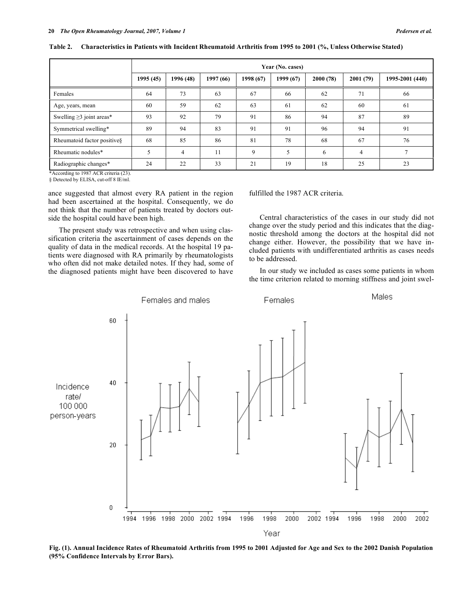|                                | Year (No. cases) |           |           |           |           |          |                |                 |
|--------------------------------|------------------|-----------|-----------|-----------|-----------|----------|----------------|-----------------|
|                                | 1995 (45)        | 1996 (48) | 1997 (66) | 1998 (67) | 1999 (67) | 2000(78) | 2001(79)       | 1995-2001 (440) |
| Females                        | 64               | 73        | 63        | 67        | 66        | 62       | 71             | 66              |
| Age, years, mean               | 60               | 59        | 62        | 63        | 61        | 62       | 60             | 61              |
| Swelling $\geq$ 3 joint areas* | 93               | 92        | 79        | 91        | 86        | 94       | 87             | 89              |
| Symmetrical swelling*          | 89               | 94        | 83        | 91        | 91        | 96       | 94             | 91              |
| Rheumatoid factor positive§    | 68               | 85        | 86        | 81        | 78        | 68       | 67             | 76              |
| Rheumatic nodules*             | 5                | 4         | 11        | 9         | 5         | 6        | $\overline{4}$ |                 |
| Radiographic changes*          | 24               | 22        | 33        | 21        | 19        | 18       | 25             | 23              |

Table 2. Characteristics in Patients with Incident Rheumatoid Arthritis from 1995 to 2001 (%, Unless Otherwise Stated)

\*According to 1987 ACR criteria (23).

§ Detected by ELISA, cut-off 8 IE/ml.

ance suggested that almost every RA patient in the region had been ascertained at the hospital. Consequently, we do not think that the number of patients treated by doctors outside the hospital could have been high.

The present study was retrospective and when using classification criteria the ascertainment of cases depends on the quality of data in the medical records. At the hospital 19 patients were diagnosed with RA primarily by rheumatologists who often did not make detailed notes. If they had, some of the diagnosed patients might have been discovered to have

fulfilled the 1987 ACR criteria.

Central characteristics of the cases in our study did not change over the study period and this indicates that the diagnostic threshold among the doctors at the hospital did not change either. However, the possibility that we have included patients with undifferentiated arthritis as cases needs to be addressed.

In our study we included as cases some patients in whom the time criterion related to morning stiffness and joint swel-



Fig. (1). Annual Incidence Rates of Rheumatoid Arthritis from 1995 to 2001 Adjusted for Age and Sex to the 2002 Danish Population **(95% Confidence Intervals by Error Bars).**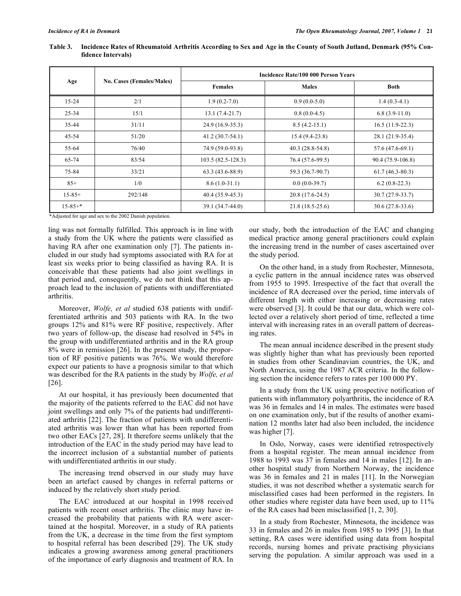|               |                                  | <b>Incidence Rate/100 000 Person Years</b> |                   |                   |  |  |  |
|---------------|----------------------------------|--------------------------------------------|-------------------|-------------------|--|--|--|
| Age           | <b>No. Cases (Females/Males)</b> | <b>Females</b>                             | <b>Males</b>      | <b>Both</b>       |  |  |  |
| $15 - 24$     | 2/1                              | $1.9(0.2-7.0)$                             | $0.9(0.0-5.0)$    | $1.4(0.3-4.1)$    |  |  |  |
| $25 - 34$     | 15/1                             | $13.1(7.4-21.7)$                           | $0.8(0.0-4.5)$    | $6.8(3.9-11.0)$   |  |  |  |
| 35-44         | 31/11                            | 24.9 (16.9-35.3)                           | $8.5(4.2-15.1)$   | $16.5(11.9-22.3)$ |  |  |  |
| 45-54         | 51/20                            | $41.2(30.7-54.1)$                          | $15.4(9.4-23.8)$  | 28.1 (21.9-35.4)  |  |  |  |
| 55-64         | 76/40                            | 74.9 (59.0-93.8)                           | $40.3(28.8-54.8)$ | 57.6 (47.6-69.1)  |  |  |  |
| 65-74         | 83/54                            | $103.5(82.5-128.3)$                        | 76.4 (57.6-99.5)  | 90.4 (75.9-106.8) |  |  |  |
| 75-84         | 33/21                            | $63.3(43.6 - 88.9)$                        | 59.3 (36.7-90.7)  | $61.7(46.3-80.3)$ |  |  |  |
| $85+$         | 1/0                              | $8.6(1.0-31.1)$                            | $0.0(0.0-39.7)$   | $6.2(0.8-22.3)$   |  |  |  |
| $15 - 85 +$   | 292/148                          | 40.4 (35.9-45.3)                           | 20.8 (17.6-24.5)  | $30.7(27.9-33.7)$ |  |  |  |
| $15 - 85 +$ * |                                  | 39.1 (34.7-44.0)                           | $21.8(18.5-25.6)$ | $30.6(27.8-33.6)$ |  |  |  |

Table 3. Incidence Rates of Rheumatoid Arthritis According to Sex and Age in the County of South Jutland, Denmark (95% Con**fidence Intervals)**

\*Adjusted for age and sex to the 2002 Danish population.

ling was not formally fulfilled. This approach is in line with a study from the UK where the patients were classified as having RA after one examination only [7]. The patients included in our study had symptoms associated with RA for at least six weeks prior to being classified as having RA. It is conceivable that these patients had also joint swellings in that period and, consequently, we do not think that this approach lead to the inclusion of patients with undifferentiated arthritis.

Moreover, *Wolfe, et al* studied 638 patients with undifferentiated arthritis and 503 patients with RA. In the two groups 12% and 81% were RF positive, respectively. After two years of follow-up, the disease had resolved in 54% in the group with undifferentiated arthritis and in the RA group 8% were in remission [26]. In the present study, the proportion of RF positive patients was 76%. We would therefore expect our patients to have a prognosis similar to that which was described for the RA patients in the study by *Wolfe, et al* [26].

At our hospital, it has previously been documented that the majority of the patients referred to the EAC did not have joint swellings and only 7% of the patients had undifferentiated arthritis [22]. The fraction of patients with undifferentiated arthritis was lower than what has been reported from two other EACs [27, 28]. It therefore seems unlikely that the introduction of the EAC in the study period may have lead to the incorrect inclusion of a substantial number of patients with undifferentiated arthritis in our study.

The increasing trend observed in our study may have been an artefact caused by changes in referral patterns or induced by the relatively short study period.

The EAC introduced at our hospital in 1998 received patients with recent onset arthritis. The clinic may have increased the probability that patients with RA were ascertained at the hospital. Moreover, in a study of RA patients from the UK, a decrease in the time from the first symptom to hospital referral has been described [29]. The UK study indicates a growing awareness among general practitioners of the importance of early diagnosis and treatment of RA. In

our study, both the introduction of the EAC and changing medical practice among general practitioners could explain the increasing trend in the number of cases ascertained over the study period.

On the other hand, in a study from Rochester, Minnesota, a cyclic pattern in the annual incidence rates was observed from 1955 to 1995. Irrespective of the fact that overall the incidence of RA decreased over the period, time intervals of different length with either increasing or decreasing rates were observed [3]. It could be that our data, which were collected over a relatively short period of time, reflected a time interval with increasing rates in an overall pattern of decreasing rates.

The mean annual incidence described in the present study was slightly higher than what has previously been reported in studies from other Scandinavian countries, the UK, and North America, using the 1987 ACR criteria. In the following section the incidence refers to rates per 100 000 PY.

In a study from the UK using prospective notification of patients with inflammatory polyarthritis, the incidence of RA was 36 in females and 14 in males. The estimates were based on one examination only, but if the results of another examination 12 months later had also been included, the incidence was higher [7].

In Oslo, Norway, cases were identified retrospectively from a hospital register. The mean annual incidence from 1988 to 1993 was 37 in females and 14 in males [12]. In another hospital study from Northern Norway, the incidence was 36 in females and 21 in males [11]. In the Norwegian studies, it was not described whether a systematic search for misclassified cases had been performed in the registers. In other studies where register data have been used, up to 11% of the RA cases had been misclassified [1, 2, 30].

In a study from Rochester, Minnesota, the incidence was 33 in females and 26 in males from 1985 to 1995 [3]. In that setting, RA cases were identified using data from hospital records, nursing homes and private practising physicians serving the population. A similar approach was used in a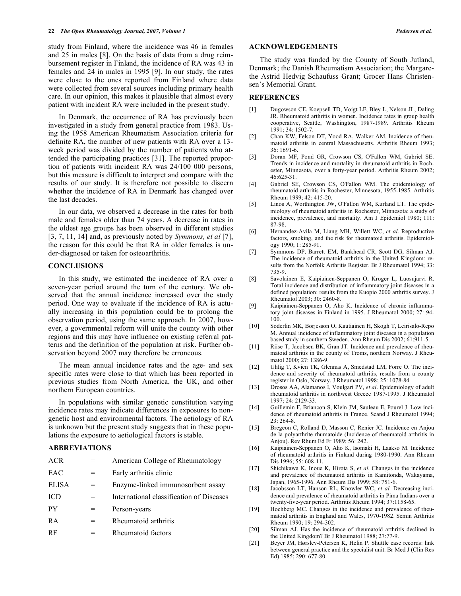study from Finland, where the incidence was 46 in females and 25 in males [8]. On the basis of data from a drug reimbursement register in Finland, the incidence of RA was 43 in females and 24 in males in 1995 [9]. In our study, the rates were close to the ones reported from Finland where data were collected from several sources including primary health care. In our opinion, this makes it plausible that almost every patient with incident RA were included in the present study.

In Denmark, the occurrence of RA has previously been investigated in a study from general practice from 1983. Using the 1958 American Rheumatism Association criteria for definite RA, the number of new patients with RA over a 13 week period was divided by the number of patients who attended the participating practices [31]. The reported proportion of patients with incident RA was 24/100 000 persons, but this measure is difficult to interpret and compare with the results of our study. It is therefore not possible to discern whether the incidence of RA in Denmark has changed over the last decades.

In our data, we observed a decrease in the rates for both male and females older than 74 years. A decrease in rates in the oldest age groups has been observed in different studies [3, 7, 11, 14] and, as previously noted by *Symmons, et al* [7], the reason for this could be that RA in older females is under-diagnosed or taken for osteoarthritis.

#### **CONCLUSIONS**

In this study, we estimated the incidence of RA over a seven-year period around the turn of the century. We observed that the annual incidence increased over the study period. One way to evaluate if the incidence of RA is actually increasing in this population could be to prolong the observation period, using the same approach. In 2007, however, a governmental reform will unite the county with other regions and this may have influence on existing referral patterns and the definition of the population at risk. Further observation beyond 2007 may therefore be erroneous.

The mean annual incidence rates and the age- and sex specific rates were close to that which has been reported in previous studies from North America, the UK, and other northern European countries.

In populations with similar genetic constitution varying incidence rates may indicate differences in exposures to nongenetic host and environmental factors. The aetiology of RA is unknown but the present study suggests that in these populations the exposure to aetiological factors is stable.

# **ABBREVIATIONS**

| International classification of Diseases |
|------------------------------------------|
|                                          |
|                                          |
|                                          |
| Enzyme-linked immunosorbent assay        |

## **ACKNOWLEDGEMENTS**

The study was funded by the County of South Jutland, Denmark; the Danish Rheumatism Association; the Margarethe Astrid Hedvig Schaufuss Grant; Grocer Hans Christensen's Memorial Grant.

#### **REFERENCES**

- [1] Dugowson CE, Koepsell TD, Voigt LF, Bley L, Nelson JL, Daling JR. Rheumatoid arthritis in women. Incidence rates in group health cooperative, Seattle, Washington, 1987-1989. Arthritis Rheum 1991; 34: 1502-7.
- [2] Chan KW, Felson DT, Yood RA, Walker AM. Incidence of rheumatoid arthritis in central Massachusetts. Arthritis Rheum 1993; 36: 1691-6.
- [3] Doran MF, Pond GR, Crowson CS, O'Fallon WM, Gabriel SE. Trends in incidence and mortality in rheumatoid arthritis in Rochester, Minnesota, over a forty-year period. Arthritis Rheum 2002; 46:625-31.
- [4] Gabriel SE, Crowson CS, O'Fallon WM. The epidemiology of rheumatoid arthritis in Rochester, Minnesota, 1955-1985. Arthritis Rheum 1999; 42: 415-20.
- [5] Linos A, Worthington JW, O'Fallon WM, Kurland LT. The epidemiology of rheumatoid arthritis in Rochester, Minnesota: a study of incidence, prevalence, and mortality. Am J Epidemiol 1980; 111: 87-98.
- [6] Hernandez-Avila M, Liang MH, Willett WC, *et al*. Reproductive factors, smoking, and the risk for rheumatoid arthritis. Epidemiology 1990; 1: 285-91.
- [7] Symmons DP, Barrett EM, Bankhead CR, Scott DG, Silman AJ. The incidence of rheumatoid arthritis in the United Kingdom: results from the Norfolk Arthritis Register. Br J Rheumatol 1994; 33: 735-9.
- [8] Savolainen E, Kaipiainen-Seppanen O, Kroger L, Luosujarvi R. Total incidence and distribution of inflammatory joint diseases in a defined population: results from the Kuopio 2000 arthritis survey. J Rheumatol 2003; 30: 2460-8.
- [9] Kaipiainen-Seppanen O, Aho K. Incidence of chronic inflammatory joint diseases in Finland in 1995. J Rheumatol 2000; 27: 94- 100.
- [10] Soderlin MK, Borjesson O, Kautiainen H, Skogh T, Leirisalo-Repo M. Annual incidence of inflammatory joint diseases in a population based study in southern Sweden. Ann Rheum Dis 2002; 61:911-5.
- [11] Riise T, Jacobsen BK, Gran JT. Incidence and prevalence of rheumatoid arthritis in the county of Troms, northern Norway. J Rheumatol 2000; 27: 1386-9.
- [12] Uhlig T, Kvien TK, Glennas A, Smedstad LM, Forre O. The incidence and severity of rheumatoid arthritis, results from a county register in Oslo, Norway. J Rheumatol 1998; 25: 1078-84.
- [13] Drosos AA, Alamanos I, Voulgari PV, *et al*. Epidemiology of adult rheumatoid arthritis in northwest Greece 1987-1995. J Rheumatol 1997; 24: 2129-33.
- [14] Guillemin F, Briancon S, Klein JM, Sauleau E, Pourel J. Low incidence of rheumatoid arthritis in France. Scand J Rheumatol 1994; 23: 264-8.
- [15] Bregeon C, Rolland D, Masson C, Renier JC. Incidence en Anjou de la polyarthrite rhumatoide (Incidence of rheumatoid arthritis in Anjou). Rev Rhum Ed Fr 1989; 56: 242.
- [16] Kaipiainen-Seppanen O, Aho K, Isomaki H, Laakso M. Incidence of rheumatoid arthritis in Finland during 1980-1990. Ann Rheum Dis 1996; 55: 608-11.
- [17] Shichikawa K, Inoue K, Hirota S, *et al*. Changes in the incidence and prevalence of rheumatoid arthritis in Kamitonda, Wakayama, Japan, 1965-1996. Ann Rheum Dis 1999; 58: 751-6.
- [18] Jacobsson LT, Hanson RL, Knowler WC, *et al*. Decreasing incidence and prevalence of rheumatoid arthritis in Pima Indians over a twenty-five-year period. Arthritis Rheum 1994; 37:1158-65.
- [19] Hochberg MC. Changes in the incidence and prevalence of rheumatoid arthritis in England and Wales, 1970-1982. Semin Arthritis Rheum 1990; 19: 294-302.
- [20] Silman AJ. Has the incidence of rheumatoid arthritis declined in the United Kingdom? Br J Rheumatol 1988; 27:77-9.
- [21] Beyer JM, Hørslev-Petersen K, Helin P. Shuttle case records: link between general practice and the specialist unit. Br Med J (Clin Res Ed) 1985; 290: 677-80.